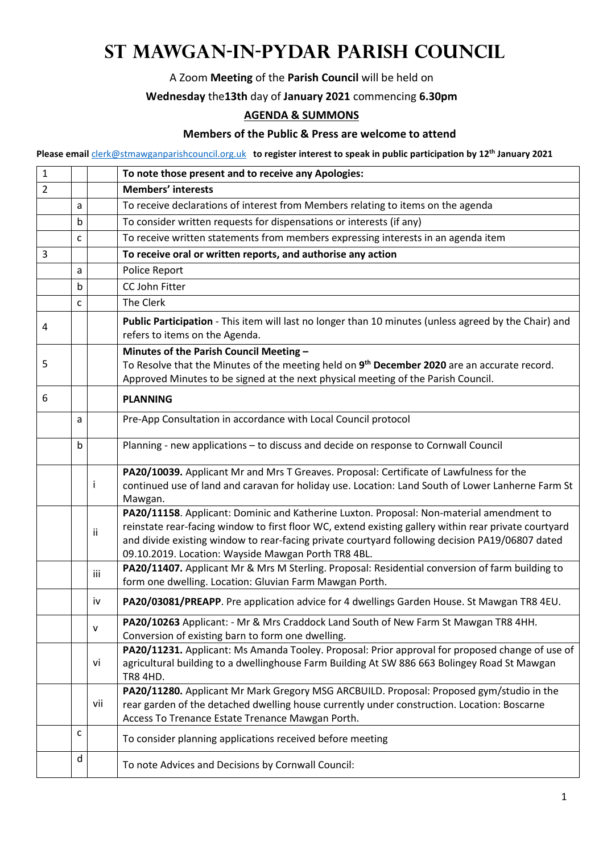## **St Mawgan-in-Pydar Parish Council**

A Zoom **Meeting** of the **Parish Council** will be held on

## **Wednesday** the**13th** day of **January 2021** commencing **6.30pm**

## **AGENDA & SUMMONS**

## **Members of the Public & Press are welcome to attend**

**Please email** clerk@stmawganparishcouncil.org.uk **to register interest to speak in public participation by 12th January 2021** 

| $\mathbf{1}$   |              |     | To note those present and to receive any Apologies:                                                                                                                                                                                                                                                                                                         |
|----------------|--------------|-----|-------------------------------------------------------------------------------------------------------------------------------------------------------------------------------------------------------------------------------------------------------------------------------------------------------------------------------------------------------------|
| $\overline{2}$ |              |     | <b>Members' interests</b>                                                                                                                                                                                                                                                                                                                                   |
|                | a            |     | To receive declarations of interest from Members relating to items on the agenda                                                                                                                                                                                                                                                                            |
|                | b            |     | To consider written requests for dispensations or interests (if any)                                                                                                                                                                                                                                                                                        |
|                | $\mathsf{C}$ |     | To receive written statements from members expressing interests in an agenda item                                                                                                                                                                                                                                                                           |
| 3              |              |     | To receive oral or written reports, and authorise any action                                                                                                                                                                                                                                                                                                |
|                | a            |     | Police Report                                                                                                                                                                                                                                                                                                                                               |
|                | b            |     | CC John Fitter                                                                                                                                                                                                                                                                                                                                              |
|                | $\mathsf{C}$ |     | The Clerk                                                                                                                                                                                                                                                                                                                                                   |
| 4              |              |     | Public Participation - This item will last no longer than 10 minutes (unless agreed by the Chair) and<br>refers to items on the Agenda.                                                                                                                                                                                                                     |
| 5              |              |     | Minutes of the Parish Council Meeting -<br>To Resolve that the Minutes of the meeting held on 9 <sup>th</sup> December 2020 are an accurate record.<br>Approved Minutes to be signed at the next physical meeting of the Parish Council.                                                                                                                    |
| 6              |              |     | <b>PLANNING</b>                                                                                                                                                                                                                                                                                                                                             |
|                | a            |     | Pre-App Consultation in accordance with Local Council protocol                                                                                                                                                                                                                                                                                              |
|                | $\mathsf b$  |     | Planning - new applications - to discuss and decide on response to Cornwall Council                                                                                                                                                                                                                                                                         |
|                |              |     | PA20/10039. Applicant Mr and Mrs T Greaves. Proposal: Certificate of Lawfulness for the<br>continued use of land and caravan for holiday use. Location: Land South of Lower Lanherne Farm St<br>Mawgan.                                                                                                                                                     |
|                |              | ij. | PA20/11158. Applicant: Dominic and Katherine Luxton. Proposal: Non-material amendment to<br>reinstate rear-facing window to first floor WC, extend existing gallery within rear private courtyard<br>and divide existing window to rear-facing private courtyard following decision PA19/06807 dated<br>09.10.2019. Location: Wayside Mawgan Porth TR8 4BL. |
|                |              | iii | PA20/11407. Applicant Mr & Mrs M Sterling. Proposal: Residential conversion of farm building to<br>form one dwelling. Location: Gluvian Farm Mawgan Porth.                                                                                                                                                                                                  |
|                |              | iv  | PA20/03081/PREAPP. Pre application advice for 4 dwellings Garden House. St Mawgan TR8 4EU.                                                                                                                                                                                                                                                                  |
|                |              | v   | PA20/10263 Applicant: - Mr & Mrs Craddock Land South of New Farm St Mawgan TR8 4HH.<br>Conversion of existing barn to form one dwelling.                                                                                                                                                                                                                    |
|                |              | vi  | PA20/11231. Applicant: Ms Amanda Tooley. Proposal: Prior approval for proposed change of use of<br>agricultural building to a dwellinghouse Farm Building At SW 886 663 Bolingey Road St Mawgan<br><b>TR8 4HD.</b>                                                                                                                                          |
|                |              | vii | PA20/11280. Applicant Mr Mark Gregory MSG ARCBUILD. Proposal: Proposed gym/studio in the<br>rear garden of the detached dwelling house currently under construction. Location: Boscarne<br>Access To Trenance Estate Trenance Mawgan Porth.                                                                                                                 |
|                | c            |     | To consider planning applications received before meeting                                                                                                                                                                                                                                                                                                   |
|                | d            |     | To note Advices and Decisions by Cornwall Council:                                                                                                                                                                                                                                                                                                          |